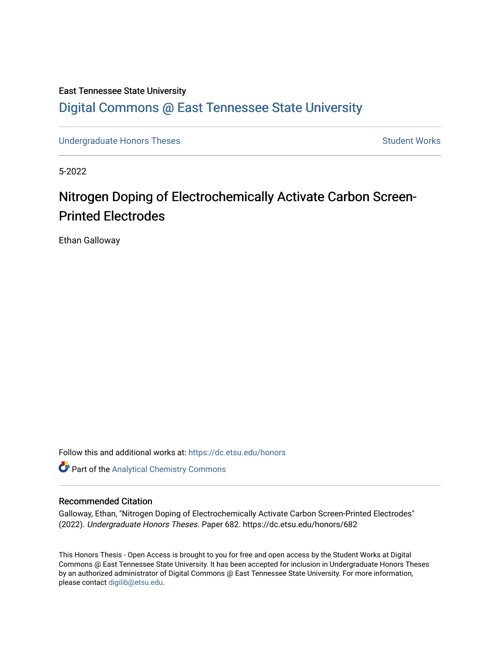# East Tennessee State University [Digital Commons @ East Tennessee State University](https://dc.etsu.edu/)

[Undergraduate Honors Theses](https://dc.etsu.edu/honors) Student Works

5-2022

# Nitrogen Doping of Electrochemically Activate Carbon Screen-Printed Electrodes

Ethan Galloway

Follow this and additional works at: [https://dc.etsu.edu/honors](https://dc.etsu.edu/honors?utm_source=dc.etsu.edu%2Fhonors%2F682&utm_medium=PDF&utm_campaign=PDFCoverPages)

Part of the [Analytical Chemistry Commons](http://network.bepress.com/hgg/discipline/132?utm_source=dc.etsu.edu%2Fhonors%2F682&utm_medium=PDF&utm_campaign=PDFCoverPages) 

#### Recommended Citation

Galloway, Ethan, "Nitrogen Doping of Electrochemically Activate Carbon Screen-Printed Electrodes" (2022). Undergraduate Honors Theses. Paper 682. https://dc.etsu.edu/honors/682

This Honors Thesis - Open Access is brought to you for free and open access by the Student Works at Digital Commons @ East Tennessee State University. It has been accepted for inclusion in Undergraduate Honors Theses by an authorized administrator of Digital Commons @ East Tennessee State University. For more information, please contact [digilib@etsu.edu.](mailto:digilib@etsu.edu)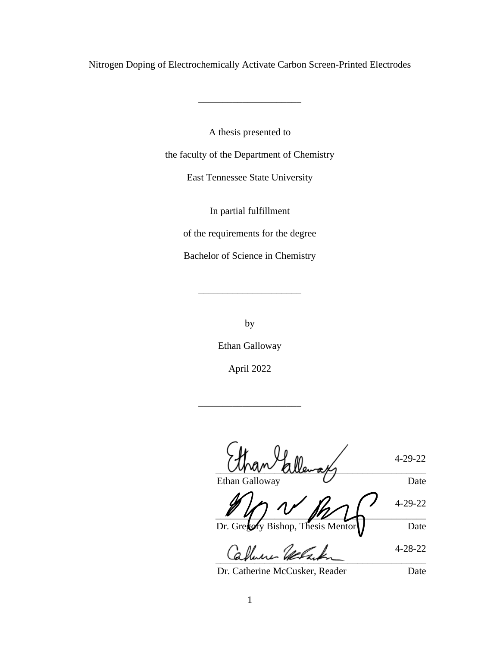Nitrogen Doping of Electrochemically Activate Carbon Screen-Printed Electrodes

\_\_\_\_\_\_\_\_\_\_\_\_\_\_\_\_\_\_\_\_\_

A thesis presented to

the faculty of the Department of Chemistry

East Tennessee State University

In partial fulfillment

of the requirements for the degree

Bachelor of Science in Chemistry

\_\_\_\_\_\_\_\_\_\_\_\_\_\_\_\_\_\_\_\_\_

by

Ethan Galloway

April 2022

\_\_\_\_\_\_\_\_\_\_\_\_\_\_\_\_\_\_\_\_\_

4-29-22  $M$  $M^{\nu\nu}$  allemates Ethan Galloway Date

4-29-22  $\sqrt{q}$ 

Dr. Gregory Bishop, Thesis Mentor Date

4-28-22 amme værmen

Dr. Catherine McCusker, Reader Date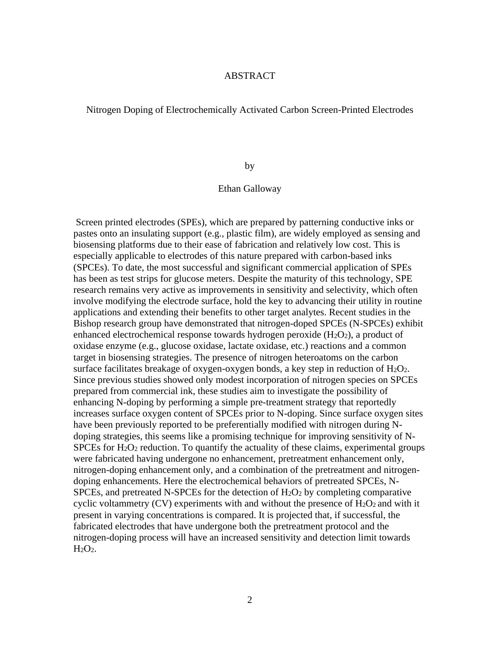### ABSTRACT

<span id="page-2-0"></span>Nitrogen Doping of Electrochemically Activated Carbon Screen-Printed Electrodes

by

# Ethan Galloway

Screen printed electrodes (SPEs), which are prepared by patterning conductive inks or pastes onto an insulating support (e.g., plastic film), are widely employed as sensing and biosensing platforms due to their ease of fabrication and relatively low cost. This is especially applicable to electrodes of this nature prepared with carbon-based inks (SPCEs). To date, the most successful and significant commercial application of SPEs has been as test strips for glucose meters. Despite the maturity of this technology, SPE research remains very active as improvements in sensitivity and selectivity, which often involve modifying the electrode surface, hold the key to advancing their utility in routine applications and extending their benefits to other target analytes. Recent studies in the Bishop research group have demonstrated that nitrogen-doped SPCEs (N-SPCEs) exhibit enhanced electrochemical response towards hydrogen peroxide  $(H_2O_2)$ , a product of oxidase enzyme (e.g., glucose oxidase, lactate oxidase, etc.) reactions and a common target in biosensing strategies. The presence of nitrogen heteroatoms on the carbon surface facilitates breakage of oxygen-oxygen bonds, a key step in reduction of  $H_2O_2$ . Since previous studies showed only modest incorporation of nitrogen species on SPCEs prepared from commercial ink, these studies aim to investigate the possibility of enhancing N-doping by performing a simple pre-treatment strategy that reportedly increases surface oxygen content of SPCEs prior to N-doping. Since surface oxygen sites have been previously reported to be preferentially modified with nitrogen during Ndoping strategies, this seems like a promising technique for improving sensitivity of N-SPCEs for  $H_2O_2$  reduction. To quantify the actuality of these claims, experimental groups were fabricated having undergone no enhancement, pretreatment enhancement only, nitrogen-doping enhancement only, and a combination of the pretreatment and nitrogendoping enhancements. Here the electrochemical behaviors of pretreated SPCEs, N-SPCEs, and pretreated N-SPCEs for the detection of  $H_2O_2$  by completing comparative cyclic voltammetry  $(CV)$  experiments with and without the presence of  $H_2O_2$  and with it present in varying concentrations is compared. It is projected that, if successful, the fabricated electrodes that have undergone both the pretreatment protocol and the nitrogen-doping process will have an increased sensitivity and detection limit towards  $H_2O_2$ .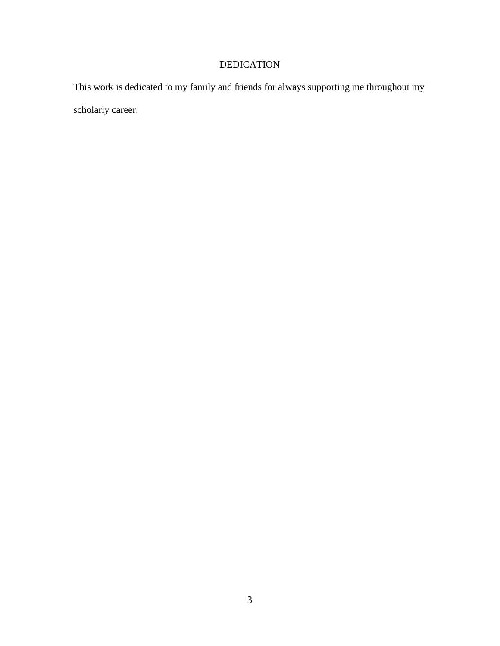# DEDICATION

<span id="page-3-0"></span>This work is dedicated to my family and friends for always supporting me throughout my scholarly career.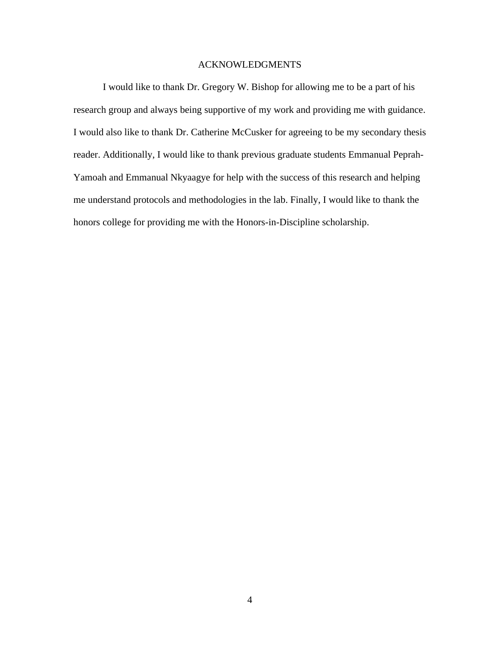# ACKNOWLEDGMENTS

<span id="page-4-0"></span>I would like to thank Dr. Gregory W. Bishop for allowing me to be a part of his research group and always being supportive of my work and providing me with guidance. I would also like to thank Dr. Catherine McCusker for agreeing to be my secondary thesis reader. Additionally, I would like to thank previous graduate students Emmanual Peprah-Yamoah and Emmanual Nkyaagye for help with the success of this research and helping me understand protocols and methodologies in the lab. Finally, I would like to thank the honors college for providing me with the Honors-in-Discipline scholarship.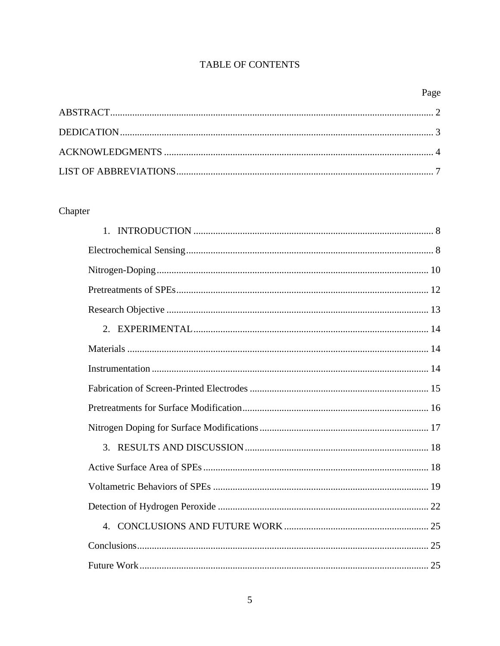# TABLE OF CONTENTS

# Page

# Chapter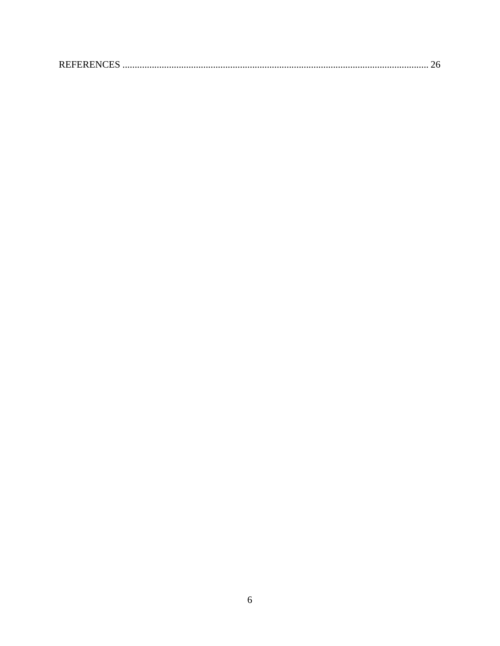|--|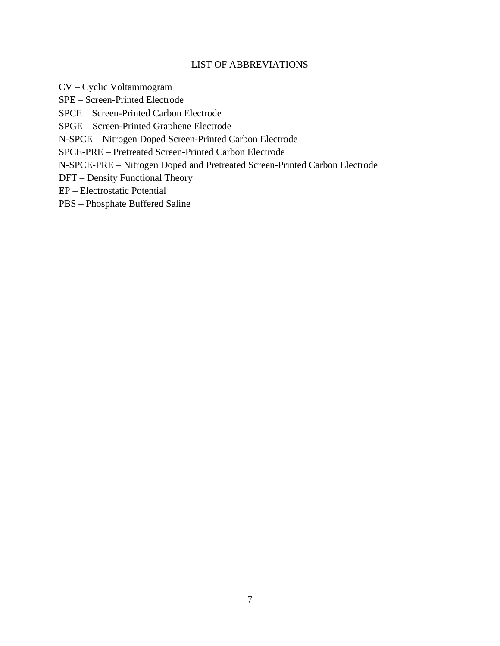# LIST OF ABBREVIATIONS

<span id="page-7-0"></span>CV – Cyclic Voltammogram

SPE – Screen-Printed Electrode

SPCE – Screen-Printed Carbon Electrode

SPGE – Screen-Printed Graphene Electrode

N-SPCE – Nitrogen Doped Screen-Printed Carbon Electrode

SPCE-PRE – Pretreated Screen-Printed Carbon Electrode

N-SPCE-PRE – Nitrogen Doped and Pretreated Screen-Printed Carbon Electrode

DFT – Density Functional Theory

EP – Electrostatic Potential

PBS – Phosphate Buffered Saline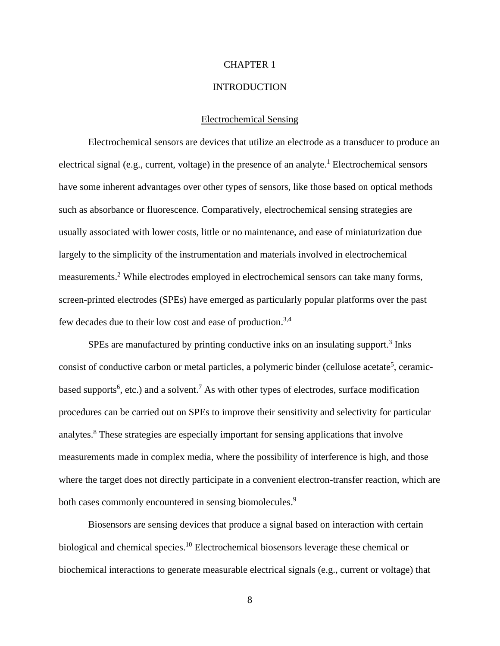#### CHAPTER 1

# **INTRODUCTION**

#### Electrochemical Sensing

<span id="page-8-1"></span><span id="page-8-0"></span>Electrochemical sensors are devices that utilize an electrode as a transducer to produce an electrical signal (e.g., current, voltage) in the presence of an analyte.<sup>1</sup> Electrochemical sensors have some inherent advantages over other types of sensors, like those based on optical methods such as absorbance or fluorescence. Comparatively, electrochemical sensing strategies are usually associated with lower costs, little or no maintenance, and ease of miniaturization due largely to the simplicity of the instrumentation and materials involved in electrochemical measurements.<sup>2</sup> While electrodes employed in electrochemical sensors can take many forms, screen-printed electrodes (SPEs) have emerged as particularly popular platforms over the past few decades due to their low cost and ease of production.<sup>3,4</sup>

SPEs are manufactured by printing conductive inks on an insulating support.<sup>3</sup> Inks consist of conductive carbon or metal particles, a polymeric binder (cellulose acetate<sup>5</sup>, ceramicbased supports<sup>6</sup>, etc.) and a solvent.<sup>7</sup> As with other types of electrodes, surface modification procedures can be carried out on SPEs to improve their sensitivity and selectivity for particular analytes. <sup>8</sup> These strategies are especially important for sensing applications that involve measurements made in complex media, where the possibility of interference is high, and those where the target does not directly participate in a convenient electron-transfer reaction, which are both cases commonly encountered in sensing biomolecules.<sup>9</sup>

Biosensors are sensing devices that produce a signal based on interaction with certain biological and chemical species.<sup>10</sup> Electrochemical biosensors leverage these chemical or biochemical interactions to generate measurable electrical signals (e.g., current or voltage) that

8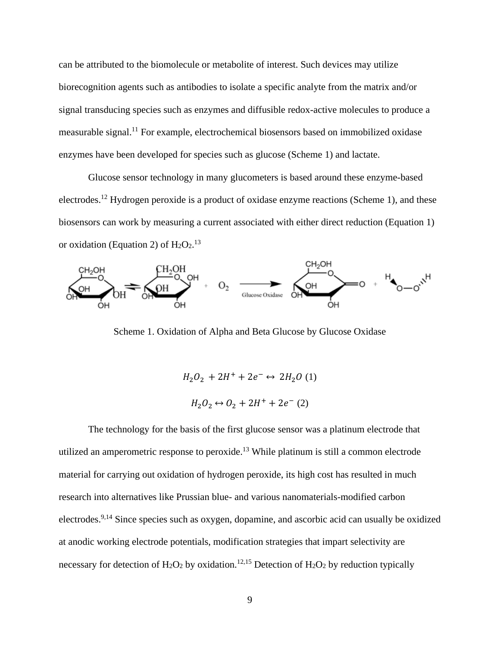can be attributed to the biomolecule or metabolite of interest. Such devices may utilize biorecognition agents such as antibodies to isolate a specific analyte from the matrix and/or signal transducing species such as enzymes and diffusible redox-active molecules to produce a measurable signal.<sup>11</sup> For example, electrochemical biosensors based on immobilized oxidase enzymes have been developed for species such as glucose (Scheme 1) and lactate.

Glucose sensor technology in many glucometers is based around these enzyme-based electrodes.<sup>12</sup> Hydrogen peroxide is a product of oxidase enzyme reactions (Scheme 1), and these biosensors can work by measuring a current associated with either direct reduction (Equation 1) or oxidation (Equation 2) of  $H_2O_2$ .<sup>13</sup>



Scheme 1. Oxidation of Alpha and Beta Glucose by Glucose Oxidase

$$
H_2O_2 + 2H^+ + 2e^- \leftrightarrow 2H_2O (1)
$$
  

$$
H_2O_2 \leftrightarrow O_2 + 2H^+ + 2e^- (2)
$$

The technology for the basis of the first glucose sensor was a platinum electrode that utilized an amperometric response to peroxide. <sup>13</sup> While platinum is still a common electrode material for carrying out oxidation of hydrogen peroxide, its high cost has resulted in much research into alternatives like Prussian blue- and various nanomaterials-modified carbon electrodes.<sup>9,14</sup> Since species such as oxygen, dopamine, and ascorbic acid can usually be oxidized at anodic working electrode potentials, modification strategies that impart selectivity are necessary for detection of  $H_2O_2$  by oxidation.<sup>12,15</sup> Detection of  $H_2O_2$  by reduction typically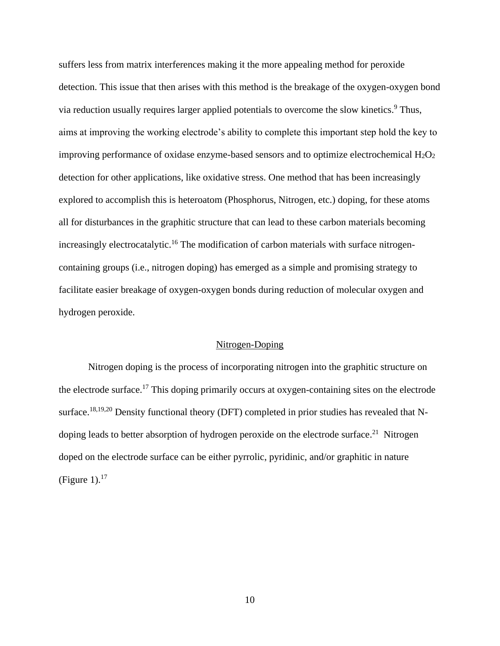suffers less from matrix interferences making it the more appealing method for peroxide detection. This issue that then arises with this method is the breakage of the oxygen-oxygen bond via reduction usually requires larger applied potentials to overcome the slow kinetics. <sup>9</sup> Thus, aims at improving the working electrode's ability to complete this important step hold the key to improving performance of oxidase enzyme-based sensors and to optimize electrochemical  $H_2O_2$ detection for other applications, like oxidative stress. One method that has been increasingly explored to accomplish this is heteroatom (Phosphorus, Nitrogen, etc.) doping, for these atoms all for disturbances in the graphitic structure that can lead to these carbon materials becoming increasingly electrocatalytic.<sup>16</sup> The modification of carbon materials with surface nitrogencontaining groups (i.e., nitrogen doping) has emerged as a simple and promising strategy to facilitate easier breakage of oxygen-oxygen bonds during reduction of molecular oxygen and hydrogen peroxide.

### Nitrogen-Doping

<span id="page-10-0"></span>Nitrogen doping is the process of incorporating nitrogen into the graphitic structure on the electrode surface.<sup>17</sup> This doping primarily occurs at oxygen-containing sites on the electrode surface.<sup>18,19,20</sup> Density functional theory (DFT) completed in prior studies has revealed that Ndoping leads to better absorption of hydrogen peroxide on the electrode surface.<sup>21</sup> Nitrogen doped on the electrode surface can be either pyrrolic, pyridinic, and/or graphitic in nature (Figure 1). $17$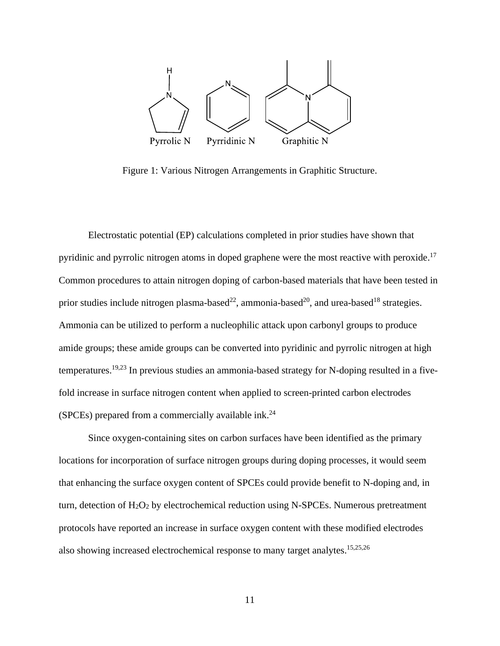

Figure 1: Various Nitrogen Arrangements in Graphitic Structure.

Electrostatic potential (EP) calculations completed in prior studies have shown that pyridinic and pyrrolic nitrogen atoms in doped graphene were the most reactive with peroxide.<sup>17</sup> Common procedures to attain nitrogen doping of carbon-based materials that have been tested in prior studies include nitrogen plasma-based<sup>22</sup>, ammonia-based<sup>20</sup>, and urea-based<sup>18</sup> strategies. Ammonia can be utilized to perform a nucleophilic attack upon carbonyl groups to produce amide groups; these amide groups can be converted into pyridinic and pyrrolic nitrogen at high temperatures.<sup>19,23</sup> In previous studies an ammonia-based strategy for N-doping resulted in a fivefold increase in surface nitrogen content when applied to screen-printed carbon electrodes (SPCEs) prepared from a commercially available ink.<sup>24</sup>

Since oxygen-containing sites on carbon surfaces have been identified as the primary locations for incorporation of surface nitrogen groups during doping processes, it would seem that enhancing the surface oxygen content of SPCEs could provide benefit to N-doping and, in turn, detection of H2O<sup>2</sup> by electrochemical reduction using N-SPCEs. Numerous pretreatment protocols have reported an increase in surface oxygen content with these modified electrodes also showing increased electrochemical response to many target analytes.<sup>15,25,26</sup>

11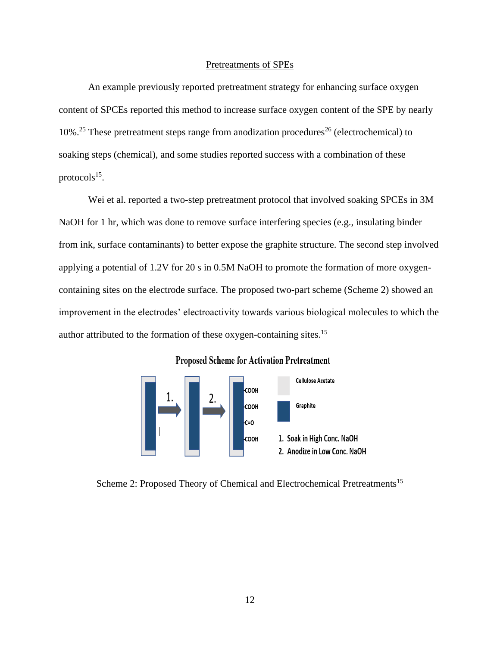#### Pretreatments of SPEs

<span id="page-12-0"></span>An example previously reported pretreatment strategy for enhancing surface oxygen content of SPCEs reported this method to increase surface oxygen content of the SPE by nearly 10%.<sup>25</sup> These pretreatment steps range from anodization procedures<sup>26</sup> (electrochemical) to soaking steps (chemical), and some studies reported success with a combination of these protocols $^{15}$ .

Wei et al. reported a two-step pretreatment protocol that involved soaking SPCEs in 3M NaOH for 1 hr, which was done to remove surface interfering species (e.g., insulating binder from ink, surface contaminants) to better expose the graphite structure. The second step involved applying a potential of 1.2V for 20 s in 0.5M NaOH to promote the formation of more oxygencontaining sites on the electrode surface. The proposed two-part scheme (Scheme 2) showed an improvement in the electrodes' electroactivity towards various biological molecules to which the author attributed to the formation of these oxygen-containing sites.<sup>15</sup>



### **Proposed Scheme for Activation Pretreatment**

Scheme 2: Proposed Theory of Chemical and Electrochemical Pretreatments<sup>15</sup>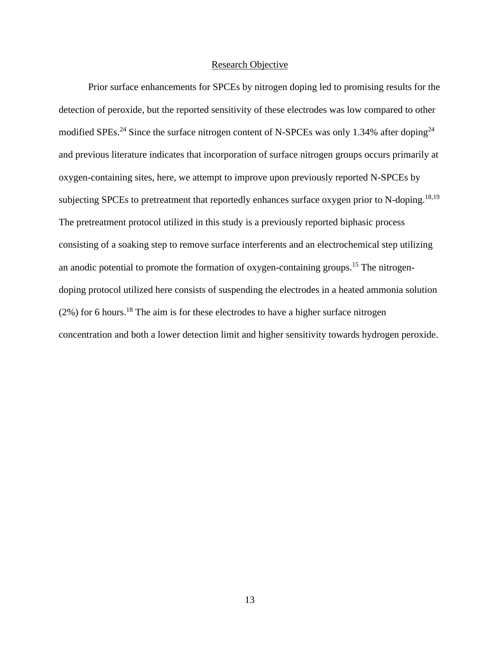#### Research Objective

<span id="page-13-0"></span>Prior surface enhancements for SPCEs by nitrogen doping led to promising results for the detection of peroxide, but the reported sensitivity of these electrodes was low compared to other modified SPEs.<sup>24</sup> Since the surface nitrogen content of N-SPCEs was only 1.34% after doping<sup>24</sup> and previous literature indicates that incorporation of surface nitrogen groups occurs primarily at oxygen-containing sites, here, we attempt to improve upon previously reported N-SPCEs by subjecting SPCEs to pretreatment that reportedly enhances surface oxygen prior to N-doping.<sup>18,19</sup> The pretreatment protocol utilized in this study is a previously reported biphasic process consisting of a soaking step to remove surface interferents and an electrochemical step utilizing an anodic potential to promote the formation of oxygen-containing groups. <sup>15</sup> The nitrogendoping protocol utilized here consists of suspending the electrodes in a heated ammonia solution  $(2\%)$  for 6 hours.<sup>18</sup> The aim is for these electrodes to have a higher surface nitrogen concentration and both a lower detection limit and higher sensitivity towards hydrogen peroxide.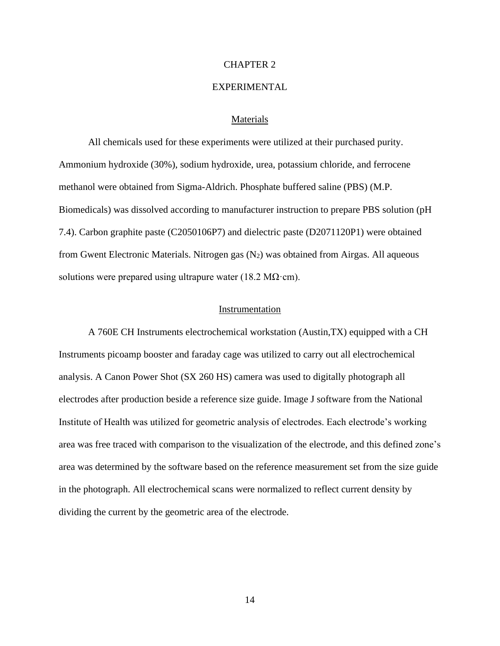#### CHAPTER 2

# EXPERIMENTAL

#### Materials

<span id="page-14-1"></span><span id="page-14-0"></span>All chemicals used for these experiments were utilized at their purchased purity. Ammonium hydroxide (30%), sodium hydroxide, urea, potassium chloride, and ferrocene methanol were obtained from Sigma-Aldrich. Phosphate buffered saline (PBS) (M.P. Biomedicals) was dissolved according to manufacturer instruction to prepare PBS solution (pH 7.4). Carbon graphite paste (C2050106P7) and dielectric paste (D2071120P1) were obtained from Gwent Electronic Materials. Nitrogen gas (N2) was obtained from Airgas. All aqueous solutions were prepared using ultrapure water (18.2 M $\Omega$ ·cm).

#### Instrumentation

<span id="page-14-2"></span>A 760E CH Instruments electrochemical workstation (Austin,TX) equipped with a CH Instruments picoamp booster and faraday cage was utilized to carry out all electrochemical analysis. A Canon Power Shot (SX 260 HS) camera was used to digitally photograph all electrodes after production beside a reference size guide. Image J software from the National Institute of Health was utilized for geometric analysis of electrodes. Each electrode's working area was free traced with comparison to the visualization of the electrode, and this defined zone's area was determined by the software based on the reference measurement set from the size guide in the photograph. All electrochemical scans were normalized to reflect current density by dividing the current by the geometric area of the electrode.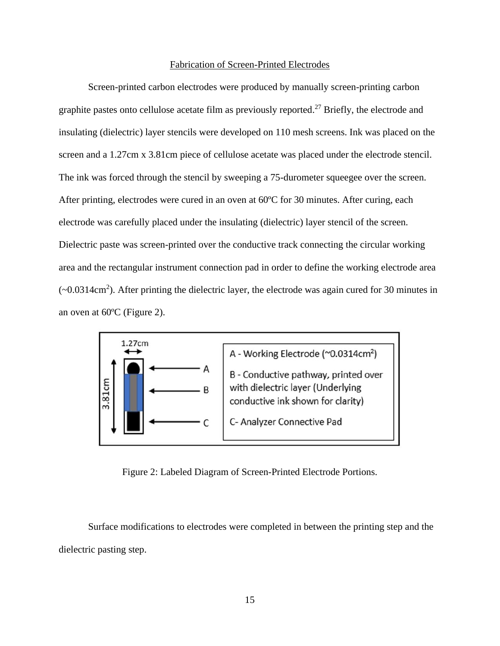#### Fabrication of Screen-Printed Electrodes

<span id="page-15-0"></span>Screen-printed carbon electrodes were produced by manually screen-printing carbon graphite pastes onto cellulose acetate film as previously reported.<sup>27</sup> Briefly, the electrode and insulating (dielectric) layer stencils were developed on 110 mesh screens. Ink was placed on the screen and a 1.27cm x 3.81cm piece of cellulose acetate was placed under the electrode stencil. The ink was forced through the stencil by sweeping a 75-durometer squeegee over the screen. After printing, electrodes were cured in an oven at 60ºC for 30 minutes. After curing, each electrode was carefully placed under the insulating (dielectric) layer stencil of the screen. Dielectric paste was screen-printed over the conductive track connecting the circular working area and the rectangular instrument connection pad in order to define the working electrode area (~0.0314cm<sup>2</sup>). After printing the dielectric layer, the electrode was again cured for 30 minutes in an oven at 60ºC (Figure 2).



Figure 2: Labeled Diagram of Screen-Printed Electrode Portions.

Surface modifications to electrodes were completed in between the printing step and the dielectric pasting step.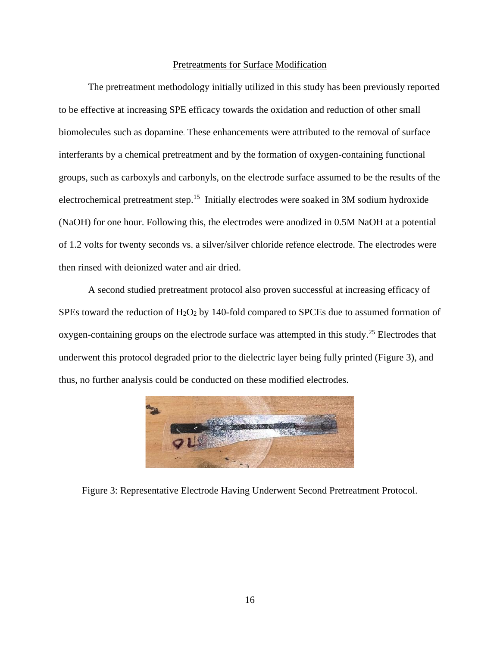### Pretreatments for Surface Modification

<span id="page-16-0"></span>The pretreatment methodology initially utilized in this study has been previously reported to be effective at increasing SPE efficacy towards the oxidation and reduction of other small biomolecules such as dopamine. These enhancements were attributed to the removal of surface interferants by a chemical pretreatment and by the formation of oxygen-containing functional groups, such as carboxyls and carbonyls, on the electrode surface assumed to be the results of the electrochemical pretreatment step.<sup>15</sup> Initially electrodes were soaked in 3M sodium hydroxide (NaOH) for one hour. Following this, the electrodes were anodized in 0.5M NaOH at a potential of 1.2 volts for twenty seconds vs. a silver/silver chloride refence electrode. The electrodes were then rinsed with deionized water and air dried.

A second studied pretreatment protocol also proven successful at increasing efficacy of SPEs toward the reduction of H2O<sup>2</sup> by 140-fold compared to SPCEs due to assumed formation of oxygen-containing groups on the electrode surface was attempted in this study.<sup>25</sup> Electrodes that underwent this protocol degraded prior to the dielectric layer being fully printed (Figure 3), and thus, no further analysis could be conducted on these modified electrodes.



Figure 3: Representative Electrode Having Underwent Second Pretreatment Protocol.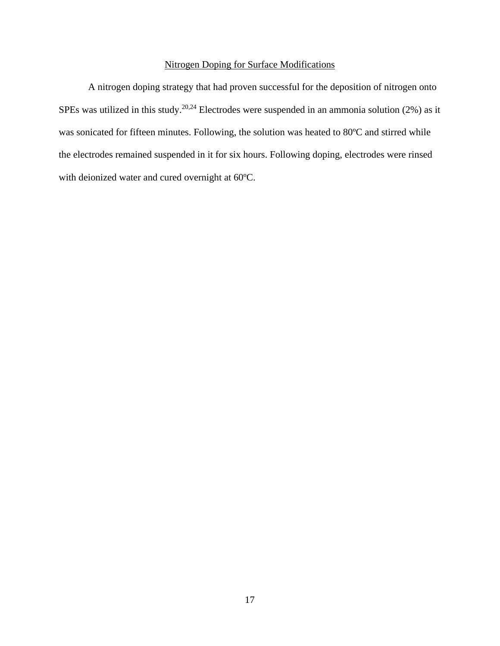# Nitrogen Doping for Surface Modifications

<span id="page-17-0"></span>A nitrogen doping strategy that had proven successful for the deposition of nitrogen onto SPEs was utilized in this study.<sup>20,24</sup> Electrodes were suspended in an ammonia solution (2%) as it was sonicated for fifteen minutes. Following, the solution was heated to 80ºC and stirred while the electrodes remained suspended in it for six hours. Following doping, electrodes were rinsed with deionized water and cured overnight at 60ºC.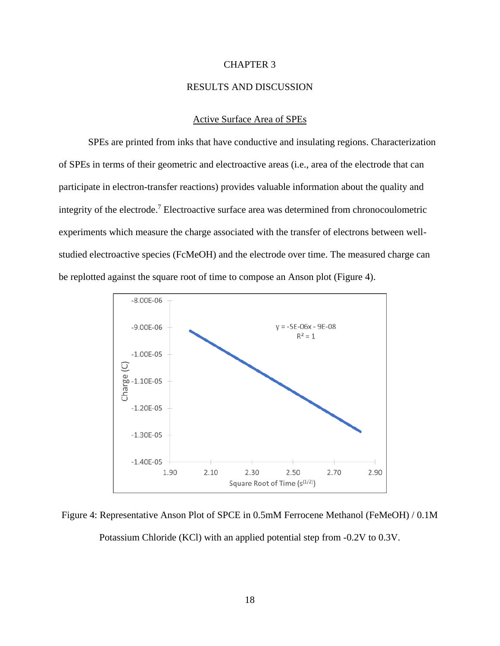#### CHAPTER 3

# RESULTS AND DISCUSSION

#### Active Surface Area of SPEs

<span id="page-18-1"></span><span id="page-18-0"></span>SPEs are printed from inks that have conductive and insulating regions. Characterization of SPEs in terms of their geometric and electroactive areas (i.e., area of the electrode that can participate in electron-transfer reactions) provides valuable information about the quality and integrity of the electrode.<sup>7</sup> Electroactive surface area was determined from chronocoulometric experiments which measure the charge associated with the transfer of electrons between wellstudied electroactive species (FcMeOH) and the electrode over time. The measured charge can be replotted against the square root of time to compose an Anson plot (Figure 4).



Figure 4: Representative Anson Plot of SPCE in 0.5mM Ferrocene Methanol (FeMeOH) / 0.1M

Potassium Chloride (KCl) with an applied potential step from -0.2V to 0.3V.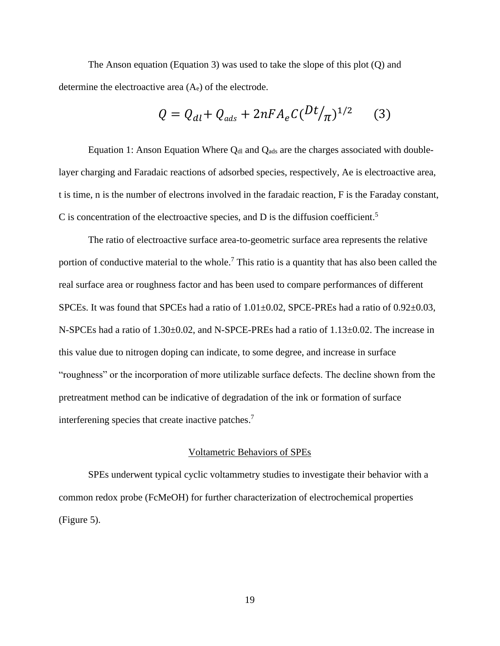The Anson equation (Equation 3) was used to take the slope of this plot (Q) and determine the electroactive area (Ae) of the electrode.

$$
Q = Q_{al} + Q_{ads} + 2nFA_eC(Dt/\pi)^{1/2}
$$
 (3)

Equation 1: Anson Equation Where  $Q_{dI}$  and  $Q_{ads}$  are the charges associated with doublelayer charging and Faradaic reactions of adsorbed species, respectively, Ae is electroactive area, t is time, n is the number of electrons involved in the faradaic reaction, F is the Faraday constant, C is concentration of the electroactive species, and D is the diffusion coefficient.<sup>5</sup>

The ratio of electroactive surface area-to-geometric surface area represents the relative portion of conductive material to the whole.<sup>7</sup> This ratio is a quantity that has also been called the real surface area or roughness factor and has been used to compare performances of different SPCEs. It was found that SPCEs had a ratio of  $1.01 \pm 0.02$ , SPCE-PREs had a ratio of  $0.92 \pm 0.03$ , N-SPCEs had a ratio of  $1.30\pm0.02$ , and N-SPCE-PREs had a ratio of  $1.13\pm0.02$ . The increase in this value due to nitrogen doping can indicate, to some degree, and increase in surface "roughness" or the incorporation of more utilizable surface defects. The decline shown from the pretreatment method can be indicative of degradation of the ink or formation of surface interferening species that create inactive patches.<sup>7</sup>

#### Voltametric Behaviors of SPEs

<span id="page-19-0"></span>SPEs underwent typical cyclic voltammetry studies to investigate their behavior with a common redox probe (FcMeOH) for further characterization of electrochemical properties (Figure 5).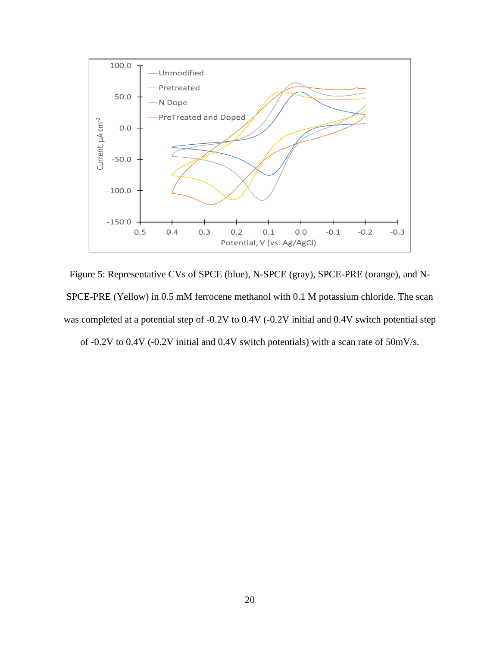

Figure 5: Representative CVs of SPCE (blue), N-SPCE (gray), SPCE-PRE (orange), and N-SPCE-PRE (Yellow) in 0.5 mM ferrocene methanol with 0.1 M potassium chloride. The scan was completed at a potential step of -0.2V to 0.4V (-0.2V initial and 0.4V switch potential step of -0.2V to 0.4V (-0.2V initial and 0.4V switch potentials) with a scan rate of 50mV/s.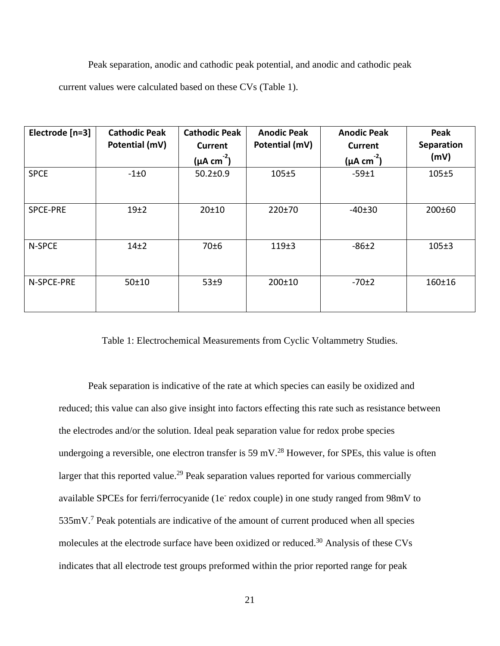Peak separation, anodic and cathodic peak potential, and anodic and cathodic peak

current values were calculated based on these CVs (Table 1).

| Electrode [n=3] | <b>Cathodic Peak</b><br>Potential (mV) | <b>Cathodic Peak</b><br><b>Current</b> | <b>Anodic Peak</b><br>Potential (mV) | <b>Anodic Peak</b><br><b>Current</b> | Peak<br><b>Separation</b> |
|-----------------|----------------------------------------|----------------------------------------|--------------------------------------|--------------------------------------|---------------------------|
|                 |                                        | $(\mu A \text{ cm}^2)$                 |                                      | $(\mu A \text{ cm}^2)$               | (mV)                      |
| <b>SPCE</b>     | $-1\pm0$                               | $50.2 \pm 0.9$                         | 105±5                                | $-59±1$                              | 105±5                     |
| SPCE-PRE        | 19 <sub>±2</sub>                       | 20±10                                  | 220±70                               | $-40±30$                             | 200±60                    |
| N-SPCE          | 14 <sub>±2</sub>                       | 70±6                                   | 119±3                                | $-86±2$                              | $105 + 3$                 |
| N-SPCE-PRE      | 50±10                                  | 53±9                                   | $200 \pm 10$                         | $-70±2$                              | 160±16                    |

Table 1: Electrochemical Measurements from Cyclic Voltammetry Studies.

Peak separation is indicative of the rate at which species can easily be oxidized and reduced; this value can also give insight into factors effecting this rate such as resistance between the electrodes and/or the solution. Ideal peak separation value for redox probe species undergoing a reversible, one electron transfer is 59 mV.<sup>28</sup> However, for SPEs, this value is often larger that this reported value.<sup>29</sup> Peak separation values reported for various commercially available SPCEs for ferri/ferrocyanide (1e redox couple) in one study ranged from 98mV to 535mV.<sup>7</sup> Peak potentials are indicative of the amount of current produced when all species molecules at the electrode surface have been oxidized or reduced.<sup>30</sup> Analysis of these CVs indicates that all electrode test groups preformed within the prior reported range for peak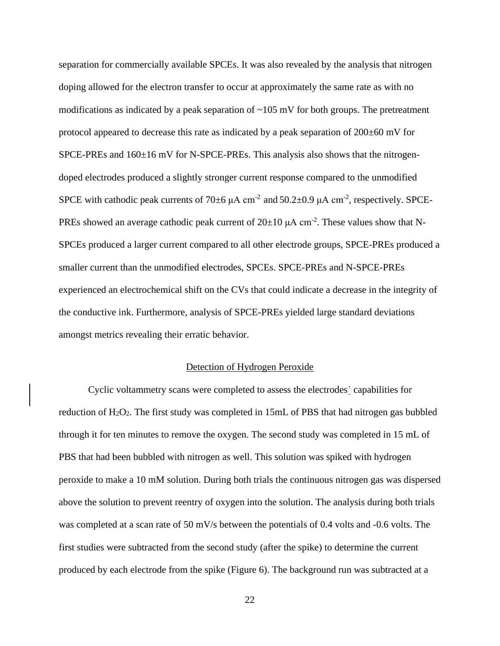separation for commercially available SPCEs. It was also revealed by the analysis that nitrogen doping allowed for the electron transfer to occur at approximately the same rate as with no modifications as indicated by a peak separation of  $\sim 105$  mV for both groups. The pretreatment protocol appeared to decrease this rate as indicated by a peak separation of  $200\pm60$  mV for SPCE-PREs and  $160\pm16$  mV for N-SPCE-PREs. This analysis also shows that the nitrogendoped electrodes produced a slightly stronger current response compared to the unmodified SPCE with cathodic peak currents of 70 $\pm$ 6  $\mu$ A cm<sup>-2</sup> and 50.2 $\pm$ 0.9  $\mu$ A cm<sup>-2</sup>, respectively. SPCE-PREs showed an average cathodic peak current of  $20\pm 10 \mu A$  cm<sup>-2</sup>. These values show that N-SPCEs produced a larger current compared to all other electrode groups, SPCE-PREs produced a smaller current than the unmodified electrodes, SPCEs. SPCE-PREs and N-SPCE-PREs experienced an electrochemical shift on the CVs that could indicate a decrease in the integrity of the conductive ink. Furthermore, analysis of SPCE-PREs yielded large standard deviations amongst metrics revealing their erratic behavior.

### Detection of Hydrogen Peroxide

<span id="page-22-0"></span>Cyclic voltammetry scans were completed to assess the electrodes' capabilities for reduction of H2O2. The first study was completed in 15mL of PBS that had nitrogen gas bubbled through it for ten minutes to remove the oxygen. The second study was completed in 15 mL of PBS that had been bubbled with nitrogen as well. This solution was spiked with hydrogen peroxide to make a 10 mM solution. During both trials the continuous nitrogen gas was dispersed above the solution to prevent reentry of oxygen into the solution. The analysis during both trials was completed at a scan rate of 50 mV/s between the potentials of 0.4 volts and -0.6 volts. The first studies were subtracted from the second study (after the spike) to determine the current produced by each electrode from the spike (Figure 6). The background run was subtracted at a

22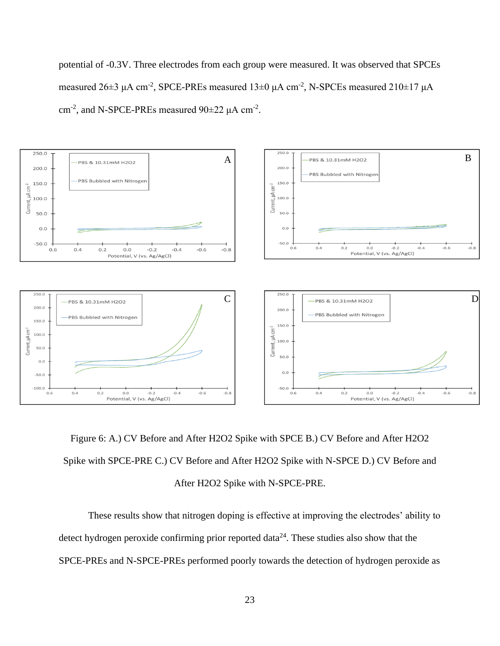potential of -0.3V. Three electrodes from each group were measured. It was observed that SPCEs measured  $26\pm3$   $\mu$ A cm<sup>-2</sup>, SPCE-PREs measured  $13\pm0$   $\mu$ A cm<sup>-2</sup>, N-SPCEs measured  $210\pm17$   $\mu$ A cm<sup>-2</sup>, and N-SPCE-PREs measured  $90\pm22 \mu A \text{ cm}^{-2}$ .



Figure 6: A.) CV Before and After H2O2 Spike with SPCE B.) CV Before and After H2O2 Spike with SPCE-PRE C.) CV Before and After H2O2 Spike with N-SPCE D.) CV Before and After H2O2 Spike with N-SPCE-PRE.

These results show that nitrogen doping is effective at improving the electrodes' ability to detect hydrogen peroxide confirming prior reported data<sup>24</sup>. These studies also show that the SPCE-PREs and N-SPCE-PREs performed poorly towards the detection of hydrogen peroxide as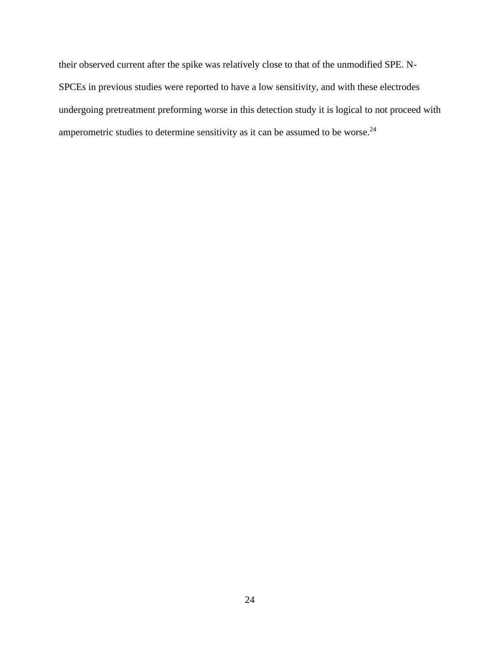their observed current after the spike was relatively close to that of the unmodified SPE. N-SPCEs in previous studies were reported to have a low sensitivity, and with these electrodes undergoing pretreatment preforming worse in this detection study it is logical to not proceed with amperometric studies to determine sensitivity as it can be assumed to be worse.<sup>24</sup>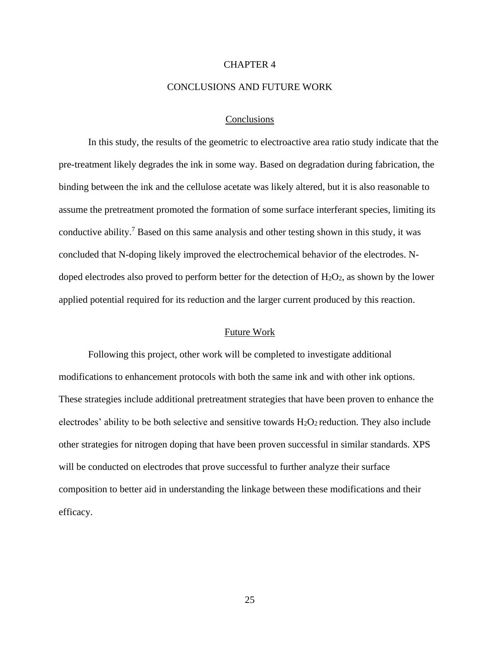#### CHAPTER 4

# CONCLUSIONS AND FUTURE WORK

#### Conclusions

<span id="page-25-1"></span><span id="page-25-0"></span>In this study, the results of the geometric to electroactive area ratio study indicate that the pre-treatment likely degrades the ink in some way. Based on degradation during fabrication, the binding between the ink and the cellulose acetate was likely altered, but it is also reasonable to assume the pretreatment promoted the formation of some surface interferant species, limiting its conductive ability. <sup>7</sup> Based on this same analysis and other testing shown in this study, it was concluded that N-doping likely improved the electrochemical behavior of the electrodes. Ndoped electrodes also proved to perform better for the detection of  $H_2O_2$ , as shown by the lower applied potential required for its reduction and the larger current produced by this reaction.

#### Future Work

<span id="page-25-2"></span>Following this project, other work will be completed to investigate additional modifications to enhancement protocols with both the same ink and with other ink options. These strategies include additional pretreatment strategies that have been proven to enhance the electrodes' ability to be both selective and sensitive towards H2O2 reduction. They also include other strategies for nitrogen doping that have been proven successful in similar standards. XPS will be conducted on electrodes that prove successful to further analyze their surface composition to better aid in understanding the linkage between these modifications and their efficacy.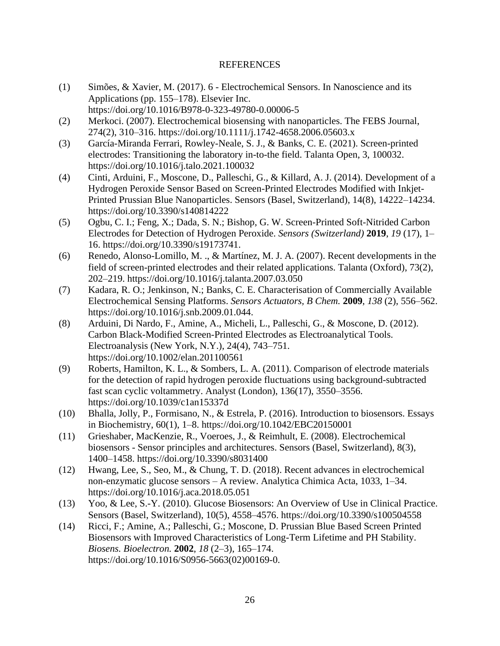# REFERENCES

- <span id="page-26-0"></span>(1) Simões, & Xavier, M. (2017). 6 - Electrochemical Sensors. In Nanoscience and its Applications (pp. 155–178). Elsevier Inc. https://doi.org/10.1016/B978-0-323-49780-0.00006-5
- (2) Merkoci. (2007). Electrochemical biosensing with nanoparticles. The FEBS Journal, 274(2), 310–316. https://doi.org/10.1111/j.1742-4658.2006.05603.x
- (3) García-Miranda Ferrari, Rowley-Neale, S. J., & Banks, C. E. (2021). Screen-printed electrodes: Transitioning the laboratory in-to-the field. Talanta Open, 3, 100032. https://doi.org/10.1016/j.talo.2021.100032
- (4) Cinti, Arduini, F., Moscone, D., Palleschi, G., & Killard, A. J. (2014). Development of a Hydrogen Peroxide Sensor Based on Screen-Printed Electrodes Modified with Inkjet-Printed Prussian Blue Nanoparticles. Sensors (Basel, Switzerland), 14(8), 14222–14234. https://doi.org/10.3390/s140814222
- (5) Ogbu, C. I.; Feng, X.; Dada, S. N.; Bishop, G. W. Screen-Printed Soft-Nitrided Carbon Electrodes for Detection of Hydrogen Peroxide. *Sensors (Switzerland)* **2019**, *19* (17), 1– 16. https://doi.org/10.3390/s19173741.
- (6) Renedo, Alonso-Lomillo, M. ., & Martínez, M. J. A. (2007). Recent developments in the field of screen-printed electrodes and their related applications. Talanta (Oxford), 73(2), 202–219. https://doi.org/10.1016/j.talanta.2007.03.050
- (7) Kadara, R. O.; Jenkinson, N.; Banks, C. E. Characterisation of Commercially Available Electrochemical Sensing Platforms. *Sensors Actuators, B Chem.* **2009**, *138* (2), 556–562. https://doi.org/10.1016/j.snb.2009.01.044.
- (8) Arduini, Di Nardo, F., Amine, A., Micheli, L., Palleschi, G., & Moscone, D. (2012). Carbon Black-Modified Screen-Printed Electrodes as Electroanalytical Tools. Electroanalysis (New York, N.Y.), 24(4), 743–751. https://doi.org/10.1002/elan.201100561
- (9) Roberts, Hamilton, K. L., & Sombers, L. A. (2011). Comparison of electrode materials for the detection of rapid hydrogen peroxide fluctuations using background-subtracted fast scan cyclic voltammetry. Analyst (London), 136(17), 3550–3556. https://doi.org/10.1039/c1an15337d
- (10) Bhalla, Jolly, P., Formisano, N., & Estrela, P. (2016). Introduction to biosensors. Essays in Biochemistry, 60(1), 1–8. https://doi.org/10.1042/EBC20150001
- (11) Grieshaber, MacKenzie, R., Voeroes, J., & Reimhult, E. (2008). Electrochemical biosensors - Sensor principles and architectures. Sensors (Basel, Switzerland), 8(3), 1400–1458. https://doi.org/10.3390/s8031400
- (12) Hwang, Lee, S., Seo, M., & Chung, T. D. (2018). Recent advances in electrochemical non-enzymatic glucose sensors – A review. Analytica Chimica Acta, 1033, 1–34. https://doi.org/10.1016/j.aca.2018.05.051
- (13) Yoo, & Lee, S.-Y. (2010). Glucose Biosensors: An Overview of Use in Clinical Practice. Sensors (Basel, Switzerland), 10(5), 4558–4576. https://doi.org/10.3390/s100504558
- (14) Ricci, F.; Amine, A.; Palleschi, G.; Moscone, D. Prussian Blue Based Screen Printed Biosensors with Improved Characteristics of Long-Term Lifetime and PH Stability. *Biosens. Bioelectron.* **2002**, *18* (2–3), 165–174. https://doi.org/10.1016/S0956-5663(02)00169-0.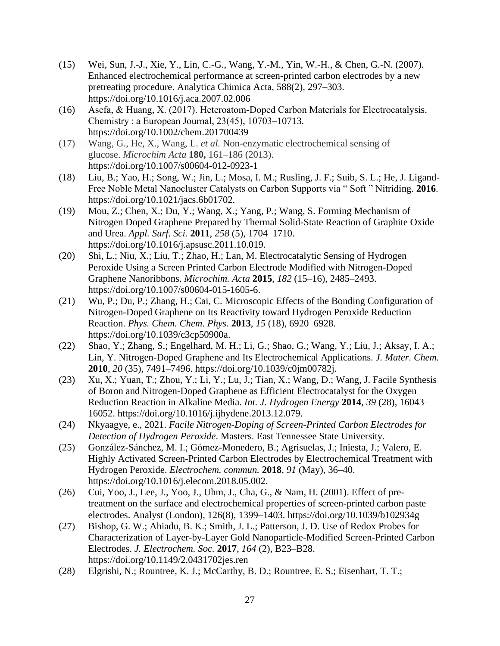- (15) Wei, Sun, J.-J., Xie, Y., Lin, C.-G., Wang, Y.-M., Yin, W.-H., & Chen, G.-N. (2007). Enhanced electrochemical performance at screen-printed carbon electrodes by a new pretreating procedure. Analytica Chimica Acta, 588(2), 297–303. https://doi.org/10.1016/j.aca.2007.02.006
- (16) Asefa, & Huang, X. (2017). Heteroatom‐Doped Carbon Materials for Electrocatalysis. Chemistry : a European Journal, 23(45), 10703–10713. https://doi.org/10.1002/chem.201700439
- (17) Wang, G., He, X., Wang, L. *et al.* Non-enzymatic electrochemical sensing of glucose. *Microchim Acta* **180,** 161–186 (2013). https://doi.org/10.1007/s00604-012-0923-1
- (18) Liu, B.; Yao, H.; Song, W.; Jin, L.; Mosa, I. M.; Rusling, J. F.; Suib, S. L.; He, J. Ligand-Free Noble Metal Nanocluster Catalysts on Carbon Supports via " Soft " Nitriding. **2016**. https://doi.org/10.1021/jacs.6b01702.
- (19) Mou, Z.; Chen, X.; Du, Y.; Wang, X.; Yang, P.; Wang, S. Forming Mechanism of Nitrogen Doped Graphene Prepared by Thermal Solid-State Reaction of Graphite Oxide and Urea. *Appl. Surf. Sci.* **2011**, *258* (5), 1704–1710. https://doi.org/10.1016/j.apsusc.2011.10.019.
- (20) Shi, L.; Niu, X.; Liu, T.; Zhao, H.; Lan, M. Electrocatalytic Sensing of Hydrogen Peroxide Using a Screen Printed Carbon Electrode Modified with Nitrogen-Doped Graphene Nanoribbons. *Microchim. Acta* **2015**, *182* (15–16), 2485–2493. https://doi.org/10.1007/s00604-015-1605-6.
- (21) Wu, P.; Du, P.; Zhang, H.; Cai, C. Microscopic Effects of the Bonding Configuration of Nitrogen-Doped Graphene on Its Reactivity toward Hydrogen Peroxide Reduction Reaction. *Phys. Chem. Chem. Phys.* **2013**, *15* (18), 6920–6928. https://doi.org/10.1039/c3cp50900a.
- (22) Shao, Y.; Zhang, S.; Engelhard, M. H.; Li, G.; Shao, G.; Wang, Y.; Liu, J.; Aksay, I. A.; Lin, Y. Nitrogen-Doped Graphene and Its Electrochemical Applications. *J. Mater. Chem.* **2010**, *20* (35), 7491–7496. https://doi.org/10.1039/c0jm00782j.
- (23) Xu, X.; Yuan, T.; Zhou, Y.; Li, Y.; Lu, J.; Tian, X.; Wang, D.; Wang, J. Facile Synthesis of Boron and Nitrogen-Doped Graphene as Efficient Electrocatalyst for the Oxygen Reduction Reaction in Alkaline Media. *Int. J. Hydrogen Energy* **2014**, *39* (28), 16043– 16052. https://doi.org/10.1016/j.ijhydene.2013.12.079.
- (24) Nkyaagye, e., 2021. *Facile Nitrogen-Doping of Screen-Printed Carbon Electrodes for Detection of Hydrogen Peroxide*. Masters. East Tennessee State University.
- (25) González-Sánchez, M. I.; Gómez-Monedero, B.; Agrisuelas, J.; Iniesta, J.; Valero, E. Highly Activated Screen-Printed Carbon Electrodes by Electrochemical Treatment with Hydrogen Peroxide. *Electrochem. commun.* **2018**, *91* (May), 36–40. https://doi.org/10.1016/j.elecom.2018.05.002.
- (26) Cui, Yoo, J., Lee, J., Yoo, J., Uhm, J., Cha, G., & Nam, H. (2001). Effect of pretreatment on the surface and electrochemical properties of screen-printed carbon paste electrodes. Analyst (London), 126(8), 1399–1403. https://doi.org/10.1039/b102934g
- (27) Bishop, G. W.; Ahiadu, B. K.; Smith, J. L.; Patterson, J. D. Use of Redox Probes for Characterization of Layer-by-Layer Gold Nanoparticle-Modified Screen-Printed Carbon Electrodes. *J. Electrochem. Soc.* **2017**, *164* (2), B23–B28. https://doi.org/10.1149/2.0431702jes.ren
- (28) Elgrishi, N.; Rountree, K. J.; McCarthy, B. D.; Rountree, E. S.; Eisenhart, T. T.;